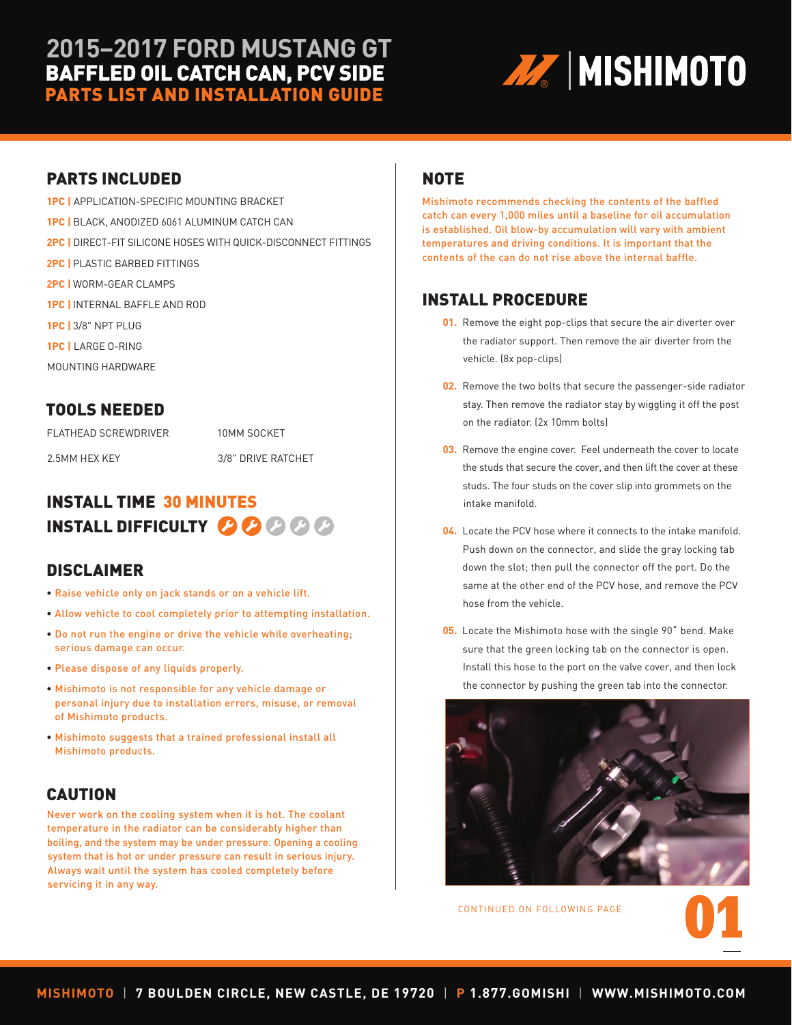# **2015–2017 FORD MUSTANG GT** BAFFLED OIL CATCH CAN, PCV SIDE PARTS LIST AND INSTALLATION GUIDE



#### PARTS INCLUDED

 **1PC |** APPLICATION-SPECIFIC MOUNTING BRACKET  **1PC |** BLACK, ANODIZED 6061 ALUMINUM CATCH CAN  **2PC |** DIRECT-FIT SILICONE HOSES WITH QUICK-DISCONNECT FITTINGS  **2PC |** PLASTIC BARBED FITTINGS  **2PC |** WORM-GEAR CLAMPS  **1PC |** INTERNAL BAFFLE AND ROD  **1PC |** 3/8" NPT PLUG  **1PC |** LARGE O-RING MOUNTING HARDWARE

#### TOOLS NEEDED

FLATHEAD SCREWDRIVER

2.5MM HEX KEY

10MM SOCKET

3/8" DRIVE RATCHET

# INSTALL TIME 30 MINUTES INSTALL DIFFICULTY **OOO**

#### DISCLAIMER

- Raise vehicle only on jack stands or on a vehicle lift.
- Allow vehicle to cool completely prior to attempting installation.
- Do not run the engine or drive the vehicle while overheating; serious damage can occur.
- Please dispose of any liquids properly.
- Mishimoto is not responsible for any vehicle damage or personal injury due to installation errors, misuse, or removal of Mishimoto products.
- Mishimoto suggests that a trained professional install all Mishimoto products.

## CAUTION

 Never work on the cooling system when it is hot. The coolant temperature in the radiator can be considerably higher than boiling, and the system may be under pressure. Opening a cooling system that is hot or under pressure can result in serious injury. Always wait until the system has cooled completely before servicing it in any way.

#### NOTE

Mishimoto recommends checking the contents of the baffled catch can every 1,000 miles until a baseline for oil accumulation is established. Oil blow-by accumulation will vary with ambient temperatures and driving conditions. It is important that the contents of the can do not rise above the internal baffle.

### INSTALL PROCEDURE

- **01.** Remove the eight pop-clips that secure the air diverter over the radiator support. Then remove the air diverter from the vehicle. (8x pop-clips)
- **02.** Remove the two bolts that secure the passenger-side radiator stay. Then remove the radiator stay by wiggling it off the post on the radiator. (2x 10mm bolts)
- **03.** Remove the engine cover. Feel underneath the cover to locate the studs that secure the cover, and then lift the cover at these studs. The four studs on the cover slip into grommets on the intake manifold.
- **04.** Locate the PCV hose where it connects to the intake manifold. Push down on the connector, and slide the gray locking tab down the slot; then pull the connector off the port. Do the same at the other end of the PCV hose, and remove the PCV hose from the vehicle.
- **05.** Locate the Mishimoto hose with the single 90˚ bend. Make sure that the green locking tab on the connector is open. Install this hose to the port on the valve cover, and then lock the connector by pushing the green tab into the connector.



CONTINUED ON FOLLOWING PAGE